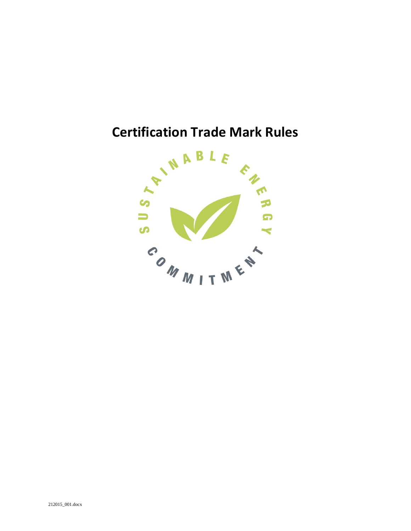# **Certification Trade Mark Rules**

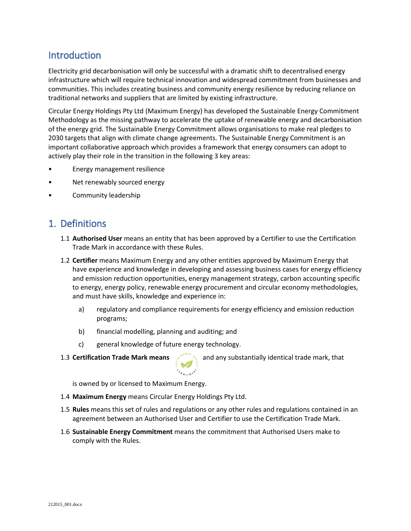## **Introduction**

Electricity grid decarbonisation will only be successful with a dramatic shift to decentralised energy infrastructure which will require technical innovation and widespread commitment from businesses and communities. This includes creating business and community energy resilience by reducing reliance on traditional networks and suppliers that are limited by existing infrastructure.

Circular Energy Holdings Pty Ltd (Maximum Energy) has developed the Sustainable Energy Commitment Methodology as the missing pathway to accelerate the uptake of renewable energy and decarbonisation of the energy grid. The Sustainable Energy Commitment allows organisations to make real pledges to 2030 targets that align with climate change agreements. The Sustainable Energy Commitment is an important collaborative approach which provides a framework that energy consumers can adopt to actively play their role in the transition in the following 3 key areas:

- Energy management resilience
- Net renewably sourced energy
- Community leadership

## 1. Definitions

- 1.1 **Authorised User** means an entity that has been approved by a Certifier to use the Certification Trade Mark in accordance with these Rules.
- 1.2 **Certifier** means Maximum Energy and any other entities approved by Maximum Energy that have experience and knowledge in developing and assessing business cases for energy efficiency and emission reduction opportunities, energy management strategy, carbon accounting specific to energy, energy policy, renewable energy procurement and circular economy methodologies, and must have skills, knowledge and experience in:
	- a) regulatory and compliance requirements for energy efficiency and emission reduction programs;
	- b) financial modelling, planning and auditing; and
	- c) general knowledge of future energy technology.
- 

1.3 **Certification Trade Mark means** and any substantially identical trade mark, that

is owned by or licensed to Maximum Energy.

- 1.4 **Maximum Energy** means Circular Energy Holdings Pty Ltd.
- 1.5 **Rules** means this set of rules and regulations or any other rules and regulations contained in an agreement between an Authorised User and Certifier to use the Certification Trade Mark.
- 1.6 **Sustainable Energy Commitment** means the commitment that Authorised Users make to comply with the Rules.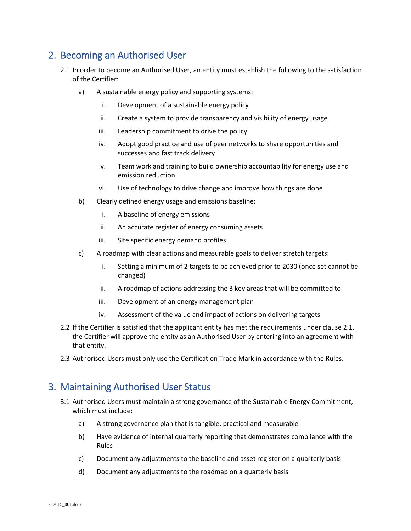## 2. Becoming an Authorised User

- 2.1 In order to become an Authorised User, an entity must establish the following to the satisfaction of the Certifier:
	- a) A sustainable energy policy and supporting systems:
		- i. Development of a sustainable energy policy
		- ii. Create a system to provide transparency and visibility of energy usage
		- iii. Leadership commitment to drive the policy
		- iv. Adopt good practice and use of peer networks to share opportunities and successes and fast track delivery
		- v. Team work and training to build ownership accountability for energy use and emission reduction
		- vi. Use of technology to drive change and improve how things are done
	- b) Clearly defined energy usage and emissions baseline:
		- i. A baseline of energy emissions
		- ii. An accurate register of energy consuming assets
		- iii. Site specific energy demand profiles
	- c) A roadmap with clear actions and measurable goals to deliver stretch targets:
		- i. Setting a minimum of 2 targets to be achieved prior to 2030 (once set cannot be changed)
		- ii. A roadmap of actions addressing the 3 key areas that will be committed to
		- iii. Development of an energy management plan
		- iv. Assessment of the value and impact of actions on delivering targets
- 2.2 If the Certifier is satisfied that the applicant entity has met the requirements under clause 2.1, the Certifier will approve the entity as an Authorised User by entering into an agreement with that entity.
- 2.3 Authorised Users must only use the Certification Trade Mark in accordance with the Rules.

#### 3. Maintaining Authorised User Status

- 3.1 Authorised Users must maintain a strong governance of the Sustainable Energy Commitment, which must include:
	- a) A strong governance plan that is tangible, practical and measurable
	- b) Have evidence of internal quarterly reporting that demonstrates compliance with the Rules
	- c) Document any adjustments to the baseline and asset register on a quarterly basis
	- d) Document any adjustments to the roadmap on a quarterly basis